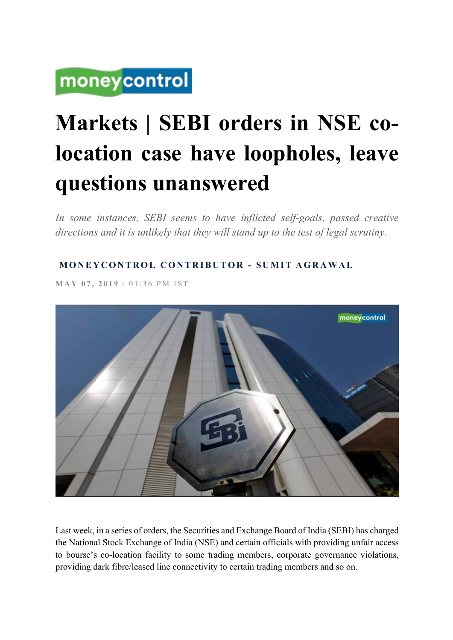# moneycontrol

# **Markets | SEBI orders in NSE colocation case have loopholes, leave questions unanswered**

In some instances, SEBI seems to have inflicted self-goals, passed creative *directions and it is unlikely that they will stand up to the test of legal scrutiny.*

## **MONEYCONTROL CONTRIBUTOR - SUMIT AGRAWAL**

**MAY 07, 2019** / 01:36 PM IST



Last week, in a series of orders, the Securities and Exchange Board of India (SEBI) has charged the National Stock Exchange of India (NSE) and certain officials with providing unfair access to bourse's co-location facility to some trading members, corporate governance violations, providing dark fibre/leased line connectivity to certain trading members and so on.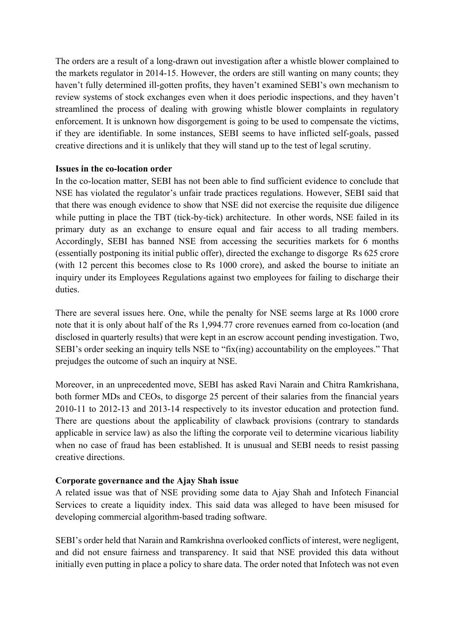The orders are a result of a long-drawn out investigation after a whistle blower complained to the markets regulator in 2014-15. However, the orders are still wanting on many counts; they haven't fully determined ill-gotten profits, they haven't examined SEBI's own mechanism to review systems of stock exchanges even when it does periodic inspections, and they haven't streamlined the process of dealing with growing whistle blower complaints in regulatory enforcement. It is unknown how disgorgement is going to be used to compensate the victims, if they are identifiable. In some instances, SEBI seems to have inflicted self-goals, passed creative directions and it is unlikely that they will stand up to the test of legal scrutiny.

#### **Issues in the co-location order**

In the co-location matter, SEBI has not been able to find sufficient evidence to conclude that NSE has violated the regulator's unfair trade practices regulations. However, SEBI said that that there was enough evidence to show that NSE did not exercise the requisite due diligence while putting in place the TBT (tick-by-tick) architecture. In other words, NSE failed in its primary duty as an exchange to ensure equal and fair access to all trading members. Accordingly, SEBI has banned NSE from accessing the securities markets for 6 months (essentially postponing its initial public offer), directed the exchange to disgorge Rs 625 crore (with 12 percent this becomes close to Rs 1000 crore), and asked the bourse to initiate an inquiry under its Employees Regulations against two employees for failing to discharge their duties.

There are several issues here. One, while the penalty for NSE seems large at Rs 1000 crore note that it is only about half of the Rs 1,994.77 crore revenues earned from co-location (and disclosed in quarterly results) that were kept in an escrow account pending investigation. Two, SEBI's order seeking an inquiry tells NSE to "fix(ing) accountability on the employees." That prejudges the outcome of such an inquiry at NSE.

Moreover, in an unprecedented move, SEBI has asked Ravi Narain and Chitra Ramkrishana, both former MDs and CEOs, to disgorge 25 percent of their salaries from the financial years 2010-11 to 2012-13 and 2013-14 respectively to its investor education and protection fund. There are questions about the applicability of clawback provisions (contrary to standards applicable in service law) as also the lifting the corporate veil to determine vicarious liability when no case of fraud has been established. It is unusual and SEBI needs to resist passing creative directions.

#### **Corporate governance and the Ajay Shah issue**

A related issue was that of NSE providing some data to Ajay Shah and Infotech Financial Services to create a liquidity index. This said data was alleged to have been misused for developing commercial algorithm-based trading software.

SEBI's order held that Narain and Ramkrishna overlooked conflicts of interest, were negligent, and did not ensure fairness and transparency. It said that NSE provided this data without initially even putting in place a policy to share data. The order noted that Infotech was not even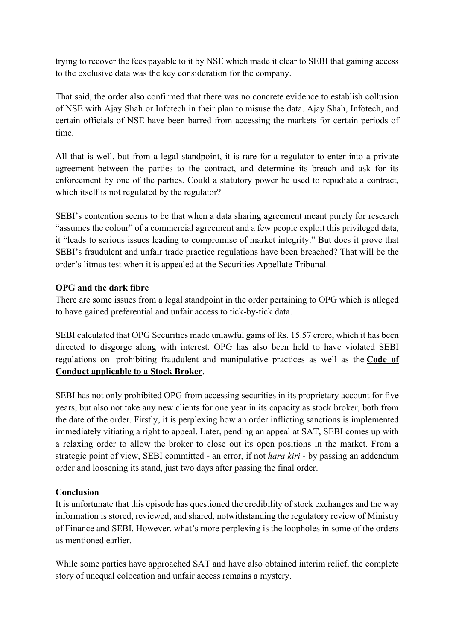trying to recover the fees payable to it by NSE which made it clear to SEBI that gaining access to the exclusive data was the key consideration for the company.

That said, the order also confirmed that there was no concrete evidence to establish collusion of NSE with Ajay Shah or Infotech in their plan to misuse the data. Ajay Shah, Infotech, and certain officials of NSE have been barred from accessing the markets for certain periods of time.

All that is well, but from a legal standpoint, it is rare for a regulator to enter into a private agreement between the parties to the contract, and determine its breach and ask for its enforcement by one of the parties. Could a statutory power be used to repudiate a contract, which itself is not regulated by the regulator?

SEBI's contention seems to be that when a data sharing agreement meant purely for research "assumes the colour" of a commercial agreement and a few people exploit this privileged data, it "leads to serious issues leading to compromise of market integrity." But does it prove that SEBI's fraudulent and unfair trade practice regulations have been breached? That will be the order's litmus test when it is appealed at the Securities Appellate Tribunal.

#### **OPG and the dark fibre**

There are some issues from a legal standpoint in the order pertaining to OPG which is alleged to have gained preferential and unfair access to tick-by-tick data.

SEBI calculated that OPG Securities made unlawful gains of Rs. 15.57 crore, which it has been directed to disgorge along with interest. OPG has also been held to have violated SEBI regulations on prohibiting fraudulent and manipulative practices as well as the **Code of Conduct applicable to a Stock Broker**.

SEBI has not only prohibited OPG from accessing securities in its proprietary account for five years, but also not take any new clients for one year in its capacity as stock broker, both from the date of the order. Firstly, it is perplexing how an order inflicting sanctions is implemented immediately vitiating a right to appeal. Later, pending an appeal at SAT, SEBI comes up with a relaxing order to allow the broker to close out its open positions in the market. From a strategic point of view, SEBI committed - an error, if not *hara kiri* - by passing an addendum order and loosening its stand, just two days after passing the final order.

### **Conclusion**

It is unfortunate that this episode has questioned the credibility of stock exchanges and the way information is stored, reviewed, and shared, notwithstanding the regulatory review of Ministry of Finance and SEBI. However, what's more perplexing is the loopholes in some of the orders as mentioned earlier.

While some parties have approached SAT and have also obtained interim relief, the complete story of unequal colocation and unfair access remains a mystery.